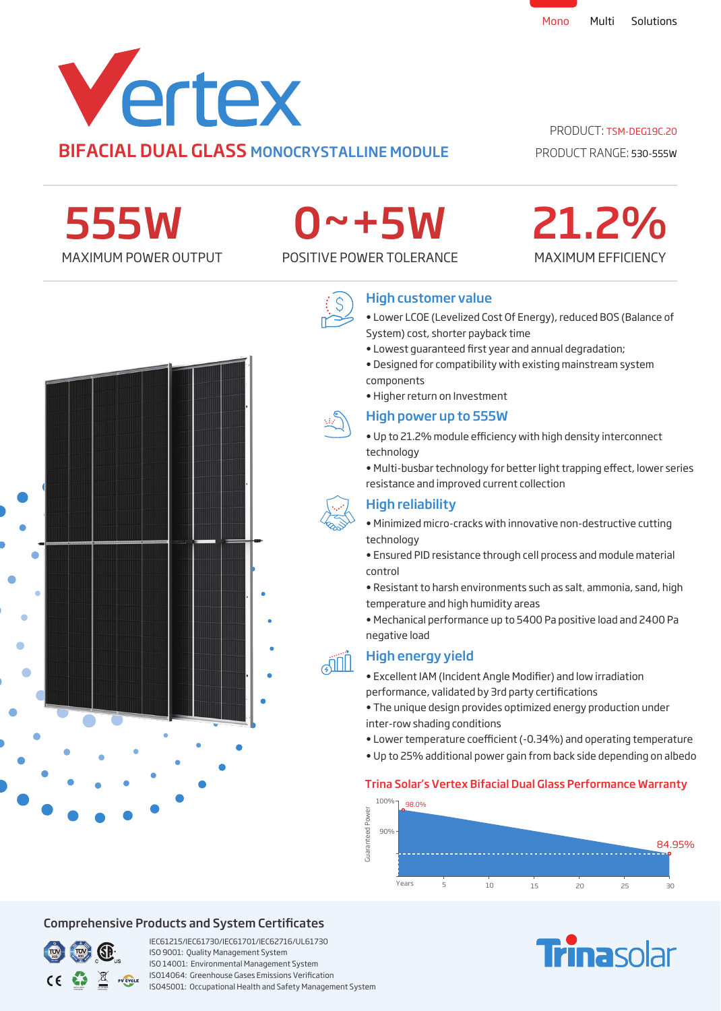

## PRODUCT: TSM-DEG19C.20

PRODUCT RANGE: 530-555W

MAXIMUM EFFICIENCY

21.2%

555W

# 0~+5W

MAXIMUM POWER OUTPUT POSITIVE POWER TOLERANCE



## High customer value

- Lower LCOE (Levelized Cost Of Energy), reduced BOS (Balance of System) cost, shorter payback time
- Lowest quaranteed first year and annual degradation;
- Designed for compatibility with existing mainstream system components
- Higher return on Investment

### High power up to 555W

- Up to 21.2% module efficiency with high density interconnect technology
- Multi-busbar technology for better light trapping effect, lower series resistance and improved current collection

## High reliability

- Minimized micro-cracks with innovative non-destructive cutting technology
- Ensured PID resistance through cell process and module material control
- Resistant to harsh environments such as salt, ammonia, sand, high temperature and high humidity areas
- Mechanical performance up to 5400 Pa positive load and 2400 Pa negative load

## High energy yield

- Excellent IAM (Incident Angle Modifier) and low irradiation performance, validated by 3rd party certifications
- The unique design provides optimized energy production under inter-row shading conditions
- Lower temperature coefficient (-0.34%) and operating temperature
- Up to 25% additional power gain from back side depending on albedo

## Trina Solar's Vertex Bifacial Dual Glass Performance Warranty



## Comprehensive Products and System Certificates



IEC61215/IEC61730/IEC61701/IEC62716/UL61730 ISO 9001: Quality Management System ISO 14001: Environmental Management System ISO14064: Greenhouse Gases Emissions Verication ISO45001: Occupational Health and Safety Management System

# **Finasolar**





**AIL**